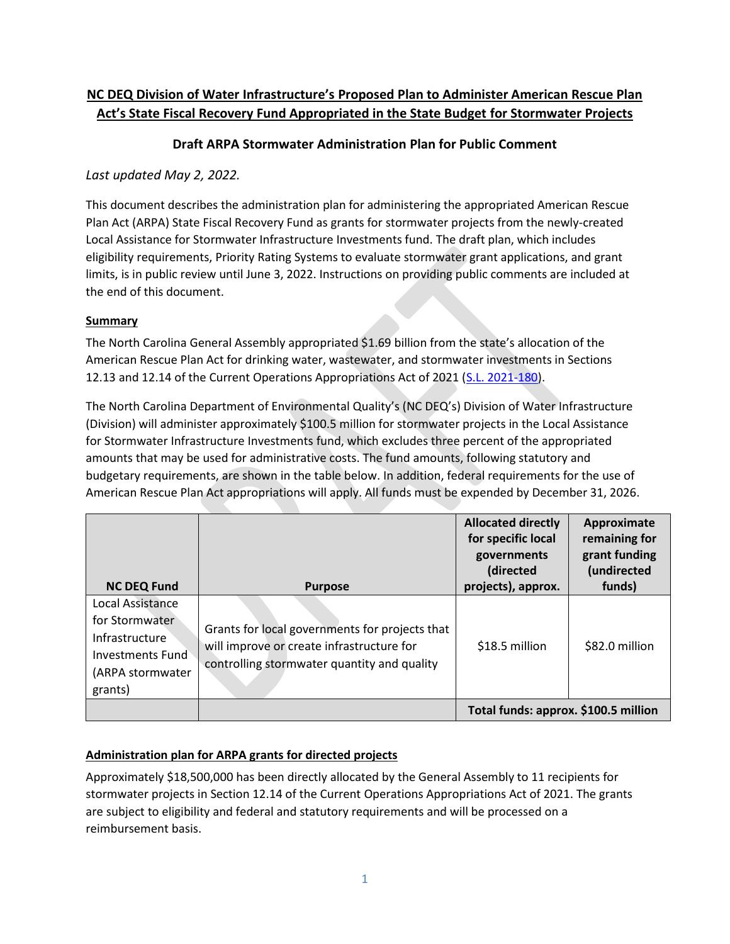## **NC DEQ Division of Water Infrastructure's Proposed Plan to Administer American Rescue Plan Act's State Fiscal Recovery Fund Appropriated in the State Budget for Stormwater Projects**

## **Draft ARPA Stormwater Administration Plan for Public Comment**

## *Last updated May 2, 2022.*

This document describes the administration plan for administering the appropriated American Rescue Plan Act (ARPA) State Fiscal Recovery Fund as grants for stormwater projects from the newly-created Local Assistance for Stormwater Infrastructure Investments fund. The draft plan, which includes eligibility requirements, Priority Rating Systems to evaluate stormwater grant applications, and grant limits, is in public review until June 3, 2022. Instructions on providing public comments are included at the end of this document.

### **Summary**

The North Carolina General Assembly appropriated \$1.69 billion from the state's allocation of the American Rescue Plan Act for drinking water, wastewater, and stormwater investments in Sections 12.13 and 12.14 of the Current Operations Appropriations Act of 2021 [\(S.L. 2021-180\)](https://www.ncleg.gov/BillLookUp/2021/s105).

The North Carolina Department of Environmental Quality's (NC DEQ's) Division of Water Infrastructure (Division) will administer approximately \$100.5 million for stormwater projects in the Local Assistance for Stormwater Infrastructure Investments fund, which excludes three percent of the appropriated amounts that may be used for administrative costs. The fund amounts, following statutory and budgetary requirements, are shown in the table below. In addition, federal requirements for the use of American Rescue Plan Act appropriations will apply. All funds must be expended by December 31, 2026.

| <b>NC DEQ Fund</b>                                                                                      | <b>Purpose</b>                                                                                                                             | <b>Allocated directly</b><br>for specific local<br>governments<br>(directed<br>projects), approx. | Approximate<br>remaining for<br>grant funding<br>(undirected<br>funds) |
|---------------------------------------------------------------------------------------------------------|--------------------------------------------------------------------------------------------------------------------------------------------|---------------------------------------------------------------------------------------------------|------------------------------------------------------------------------|
| Local Assistance<br>for Stormwater<br>Infrastructure<br>Investments Fund<br>(ARPA stormwater<br>grants) | Grants for local governments for projects that<br>will improve or create infrastructure for<br>controlling stormwater quantity and quality | \$18.5 million                                                                                    | \$82.0 million                                                         |
|                                                                                                         |                                                                                                                                            | Total funds: approx. \$100.5 million                                                              |                                                                        |

## **Administration plan for ARPA grants for directed projects**

Approximately \$18,500,000 has been directly allocated by the General Assembly to 11 recipients for stormwater projects in Section 12.14 of the Current Operations Appropriations Act of 2021. The grants are subject to eligibility and federal and statutory requirements and will be processed on a reimbursement basis.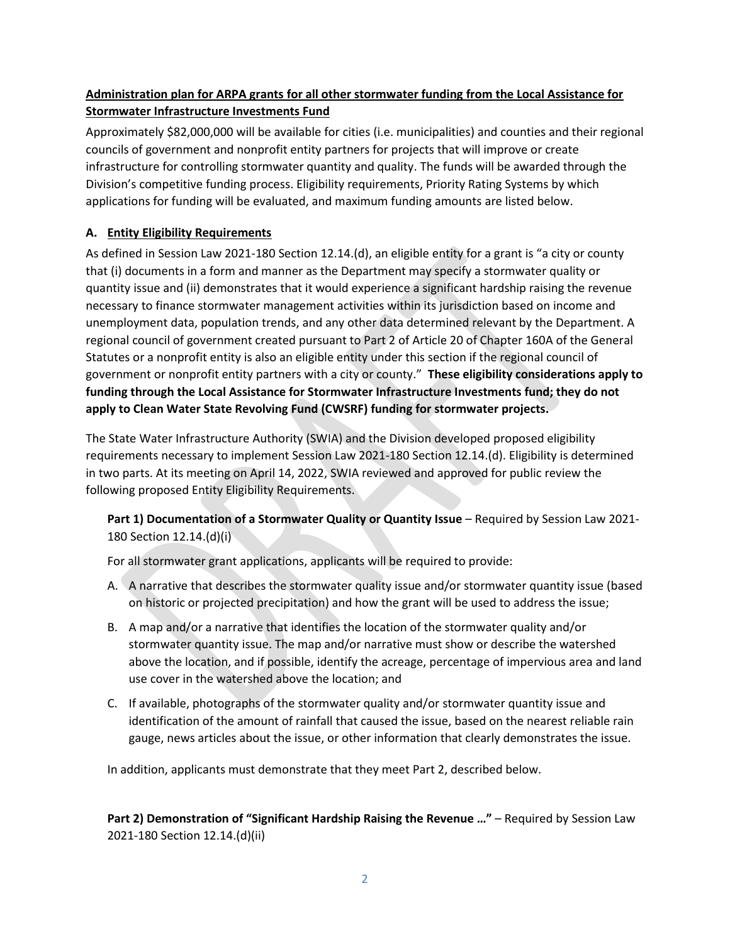## **Administration plan for ARPA grants for all other stormwater funding from the Local Assistance for Stormwater Infrastructure Investments Fund**

Approximately \$82,000,000 will be available for cities (i.e. municipalities) and counties and their regional councils of government and nonprofit entity partners for projects that will improve or create infrastructure for controlling stormwater quantity and quality. The funds will be awarded through the Division's competitive funding process. Eligibility requirements, Priority Rating Systems by which applications for funding will be evaluated, and maximum funding amounts are listed below.

## **A. Entity Eligibility Requirements**

As defined in Session Law 2021-180 Section 12.14.(d), an eligible entity for a grant is "a city or county that (i) documents in a form and manner as the Department may specify a stormwater quality or quantity issue and (ii) demonstrates that it would experience a significant hardship raising the revenue necessary to finance stormwater management activities within its jurisdiction based on income and unemployment data, population trends, and any other data determined relevant by the Department. A regional council of government created pursuant to Part 2 of Article 20 of Chapter 160A of the General Statutes or a nonprofit entity is also an eligible entity under this section if the regional council of government or nonprofit entity partners with a city or county." **These eligibility considerations apply to funding through the Local Assistance for Stormwater Infrastructure Investments fund; they do not apply to Clean Water State Revolving Fund (CWSRF) funding for stormwater projects.**

The State Water Infrastructure Authority (SWIA) and the Division developed proposed eligibility requirements necessary to implement Session Law 2021-180 Section 12.14.(d). Eligibility is determined in two parts. At its meeting on April 14, 2022, SWIA reviewed and approved for public review the following proposed Entity Eligibility Requirements.

**Part 1) Documentation of a Stormwater Quality or Quantity Issue** – Required by Session Law 2021- 180 Section 12.14.(d)(i)

For all stormwater grant applications, applicants will be required to provide:

- A. A narrative that describes the stormwater quality issue and/or stormwater quantity issue (based on historic or projected precipitation) and how the grant will be used to address the issue;
- B. A map and/or a narrative that identifies the location of the stormwater quality and/or stormwater quantity issue. The map and/or narrative must show or describe the watershed above the location, and if possible, identify the acreage, percentage of impervious area and land use cover in the watershed above the location; and
- C. If available, photographs of the stormwater quality and/or stormwater quantity issue and identification of the amount of rainfall that caused the issue, based on the nearest reliable rain gauge, news articles about the issue, or other information that clearly demonstrates the issue.

In addition, applicants must demonstrate that they meet Part 2, described below.

**Part 2) Demonstration of "Significant Hardship Raising the Revenue …"** – Required by Session Law 2021-180 Section 12.14.(d)(ii)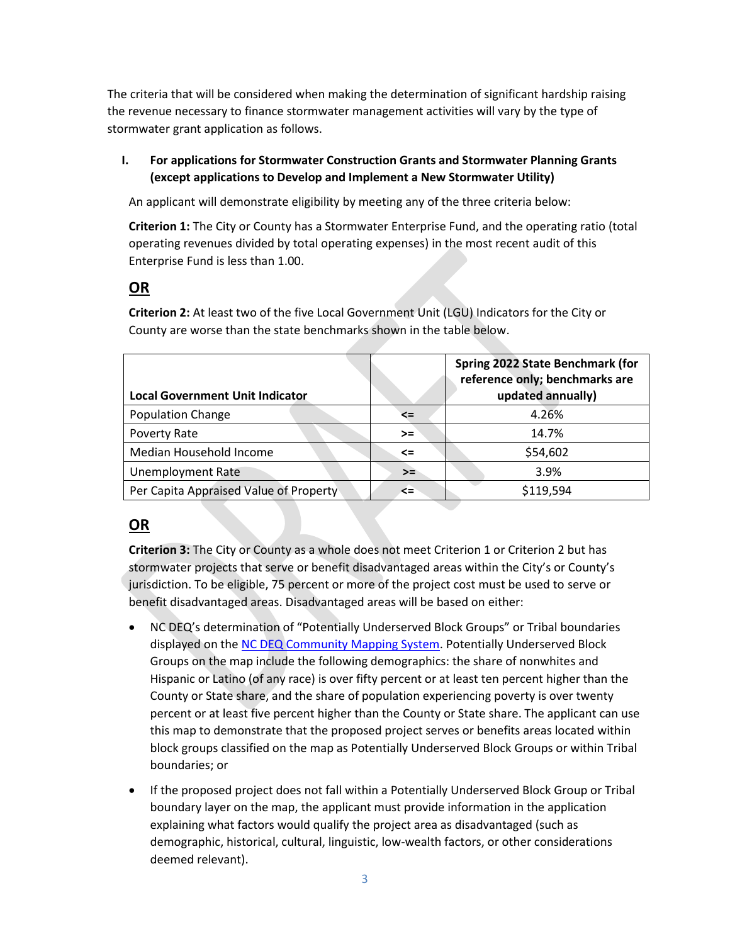The criteria that will be considered when making the determination of significant hardship raising the revenue necessary to finance stormwater management activities will vary by the type of stormwater grant application as follows.

## **I. For applications for Stormwater Construction Grants and Stormwater Planning Grants (except applications to Develop and Implement a New Stormwater Utility)**

An applicant will demonstrate eligibility by meeting any of the three criteria below:

**Criterion 1:** The City or County has a Stormwater Enterprise Fund, and the operating ratio (total operating revenues divided by total operating expenses) in the most recent audit of this Enterprise Fund is less than 1.00.

## **OR**

**Criterion 2:** At least two of the five Local Government Unit (LGU) Indicators for the City or County are worse than the state benchmarks shown in the table below.

| <b>Local Government Unit Indicator</b> |        | Spring 2022 State Benchmark (for<br>reference only; benchmarks are<br>updated annually) |
|----------------------------------------|--------|-----------------------------------------------------------------------------------------|
| <b>Population Change</b>               | <=     | 4.26%                                                                                   |
| Poverty Rate                           | $>=$   | 14.7%                                                                                   |
| Median Household Income                | <=     | \$54,602                                                                                |
| <b>Unemployment Rate</b>               | $>=$   | 3.9%                                                                                    |
| Per Capita Appraised Value of Property | $\leq$ | \$119,594                                                                               |

# **OR**

**Criterion 3:** The City or County as a whole does not meet Criterion 1 or Criterion 2 but has stormwater projects that serve or benefit disadvantaged areas within the City's or County's jurisdiction. To be eligible, 75 percent or more of the project cost must be used to serve or benefit disadvantaged areas. Disadvantaged areas will be based on either:

- NC DEQ's determination of "Potentially Underserved Block Groups" or Tribal boundaries displayed on th[e NC DEQ Community Mapping System.](https://deq.nc.gov/outreach-education/environmental-justice/deq-north-carolina-community-mapping-system) Potentially Underserved Block Groups on the map include the following demographics: the share of nonwhites and Hispanic or Latino (of any race) is over fifty percent or at least ten percent higher than the County or State share, and the share of population experiencing poverty is over twenty percent or at least five percent higher than the County or State share. The applicant can use this map to demonstrate that the proposed project serves or benefits areas located within block groups classified on the map as Potentially Underserved Block Groups or within Tribal boundaries; or
- If the proposed project does not fall within a Potentially Underserved Block Group or Tribal boundary layer on the map, the applicant must provide information in the application explaining what factors would qualify the project area as disadvantaged (such as demographic, historical, cultural, linguistic, low-wealth factors, or other considerations deemed relevant).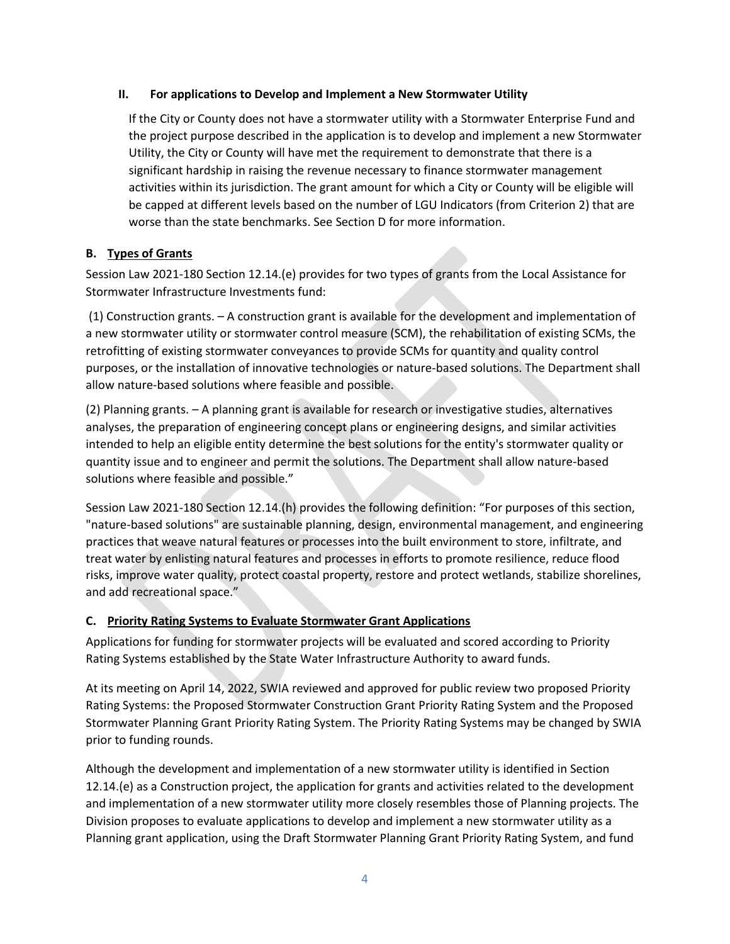#### **II. For applications to Develop and Implement a New Stormwater Utility**

If the City or County does not have a stormwater utility with a Stormwater Enterprise Fund and the project purpose described in the application is to develop and implement a new Stormwater Utility, the City or County will have met the requirement to demonstrate that there is a significant hardship in raising the revenue necessary to finance stormwater management activities within its jurisdiction. The grant amount for which a City or County will be eligible will be capped at different levels based on the number of LGU Indicators (from Criterion 2) that are worse than the state benchmarks. See Section D for more information.

#### **B. Types of Grants**

Session Law 2021-180 Section 12.14.(e) provides for two types of grants from the Local Assistance for Stormwater Infrastructure Investments fund:

(1) Construction grants. – A construction grant is available for the development and implementation of a new stormwater utility or stormwater control measure (SCM), the rehabilitation of existing SCMs, the retrofitting of existing stormwater conveyances to provide SCMs for quantity and quality control purposes, or the installation of innovative technologies or nature-based solutions. The Department shall allow nature-based solutions where feasible and possible.

(2) Planning grants. – A planning grant is available for research or investigative studies, alternatives analyses, the preparation of engineering concept plans or engineering designs, and similar activities intended to help an eligible entity determine the best solutions for the entity's stormwater quality or quantity issue and to engineer and permit the solutions. The Department shall allow nature-based solutions where feasible and possible."

Session Law 2021-180 Section 12.14.(h) provides the following definition: "For purposes of this section, "nature-based solutions" are sustainable planning, design, environmental management, and engineering practices that weave natural features or processes into the built environment to store, infiltrate, and treat water by enlisting natural features and processes in efforts to promote resilience, reduce flood risks, improve water quality, protect coastal property, restore and protect wetlands, stabilize shorelines, and add recreational space."

#### **C. Priority Rating Systems to Evaluate Stormwater Grant Applications**

Applications for funding for stormwater projects will be evaluated and scored according to Priority Rating Systems established by the State Water Infrastructure Authority to award funds.

At its meeting on April 14, 2022, SWIA reviewed and approved for public review two proposed Priority Rating Systems: the Proposed Stormwater Construction Grant Priority Rating System and the Proposed Stormwater Planning Grant Priority Rating System. The Priority Rating Systems may be changed by SWIA prior to funding rounds.

Although the development and implementation of a new stormwater utility is identified in Section 12.14.(e) as a Construction project, the application for grants and activities related to the development and implementation of a new stormwater utility more closely resembles those of Planning projects. The Division proposes to evaluate applications to develop and implement a new stormwater utility as a Planning grant application, using the Draft Stormwater Planning Grant Priority Rating System, and fund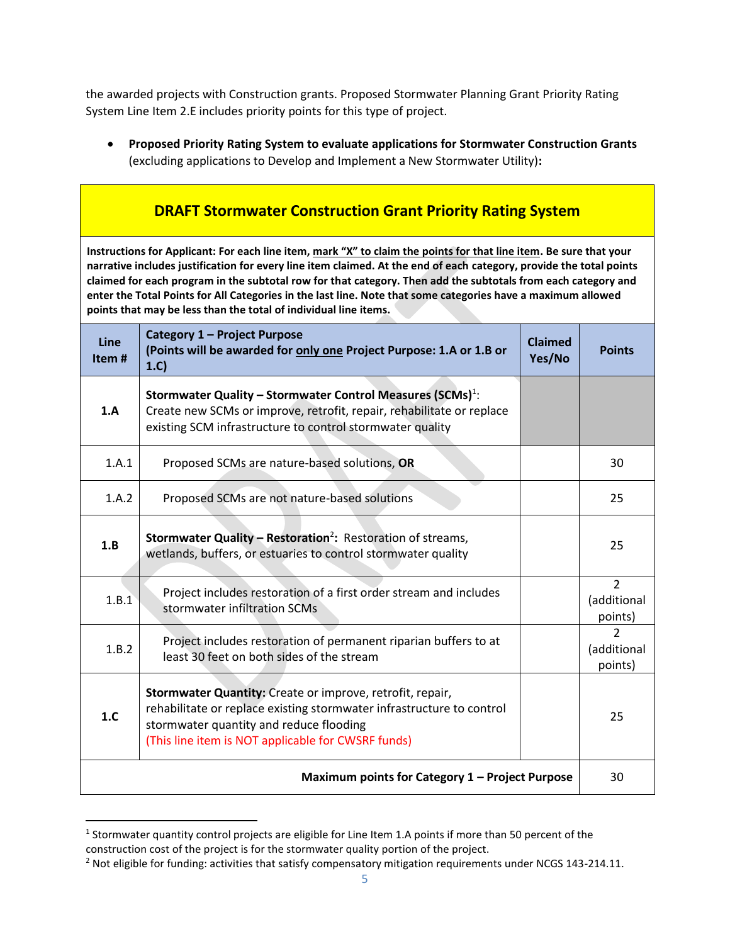the awarded projects with Construction grants. Proposed Stormwater Planning Grant Priority Rating System Line Item 2.E includes priority points for this type of project.

• **Proposed Priority Rating System to evaluate applications for Stormwater Construction Grants** (excluding applications to Develop and Implement a New Stormwater Utility)**:**

 $\blacksquare$ 

| <b>DRAFT Stormwater Construction Grant Priority Rating System</b>                                                                                                                                                                                                                                                                                                                                                                                                                                                                              |                                                                                                                                                                                                                                     |                          |                                          |  |
|------------------------------------------------------------------------------------------------------------------------------------------------------------------------------------------------------------------------------------------------------------------------------------------------------------------------------------------------------------------------------------------------------------------------------------------------------------------------------------------------------------------------------------------------|-------------------------------------------------------------------------------------------------------------------------------------------------------------------------------------------------------------------------------------|--------------------------|------------------------------------------|--|
| Instructions for Applicant: For each line item, mark "X" to claim the points for that line item. Be sure that your<br>narrative includes justification for every line item claimed. At the end of each category, provide the total points<br>claimed for each program in the subtotal row for that category. Then add the subtotals from each category and<br>enter the Total Points for All Categories in the last line. Note that some categories have a maximum allowed<br>points that may be less than the total of individual line items. |                                                                                                                                                                                                                                     |                          |                                          |  |
| Line<br>Item#                                                                                                                                                                                                                                                                                                                                                                                                                                                                                                                                  | Category 1 - Project Purpose<br>(Points will be awarded for only one Project Purpose: 1.A or 1.B or<br>1.C)                                                                                                                         | <b>Claimed</b><br>Yes/No | <b>Points</b>                            |  |
| 1.A                                                                                                                                                                                                                                                                                                                                                                                                                                                                                                                                            | Stormwater Quality - Stormwater Control Measures (SCMs) <sup>1</sup> :<br>Create new SCMs or improve, retrofit, repair, rehabilitate or replace<br>existing SCM infrastructure to control stormwater quality                        |                          |                                          |  |
| 1.A.1                                                                                                                                                                                                                                                                                                                                                                                                                                                                                                                                          | Proposed SCMs are nature-based solutions, OR                                                                                                                                                                                        |                          | 30                                       |  |
| 1.A.2                                                                                                                                                                                                                                                                                                                                                                                                                                                                                                                                          | Proposed SCMs are not nature-based solutions                                                                                                                                                                                        |                          | 25                                       |  |
| 1.B                                                                                                                                                                                                                                                                                                                                                                                                                                                                                                                                            | Stormwater Quality - Restoration <sup>2</sup> : Restoration of streams,<br>wetlands, buffers, or estuaries to control stormwater quality                                                                                            |                          | 25                                       |  |
| 1.B.1                                                                                                                                                                                                                                                                                                                                                                                                                                                                                                                                          | Project includes restoration of a first order stream and includes<br>stormwater infiltration SCMs                                                                                                                                   |                          | $\overline{2}$<br>(additional<br>points) |  |
| 1.B.2                                                                                                                                                                                                                                                                                                                                                                                                                                                                                                                                          | Project includes restoration of permanent riparian buffers to at<br>least 30 feet on both sides of the stream                                                                                                                       |                          | $\mathcal{P}$<br>(additional<br>points)  |  |
| 1.C                                                                                                                                                                                                                                                                                                                                                                                                                                                                                                                                            | Stormwater Quantity: Create or improve, retrofit, repair,<br>rehabilitate or replace existing stormwater infrastructure to control<br>stormwater quantity and reduce flooding<br>(This line item is NOT applicable for CWSRF funds) |                          | 25                                       |  |
| Maximum points for Category 1 - Project Purpose                                                                                                                                                                                                                                                                                                                                                                                                                                                                                                |                                                                                                                                                                                                                                     |                          | 30                                       |  |

 $<sup>1</sup>$  Stormwater quantity control projects are eligible for Line Item 1.A points if more than 50 percent of the</sup> construction cost of the project is for the stormwater quality portion of the project.

<sup>&</sup>lt;sup>2</sup> Not eligible for funding: activities that satisfy compensatory mitigation requirements under NCGS 143-214.11.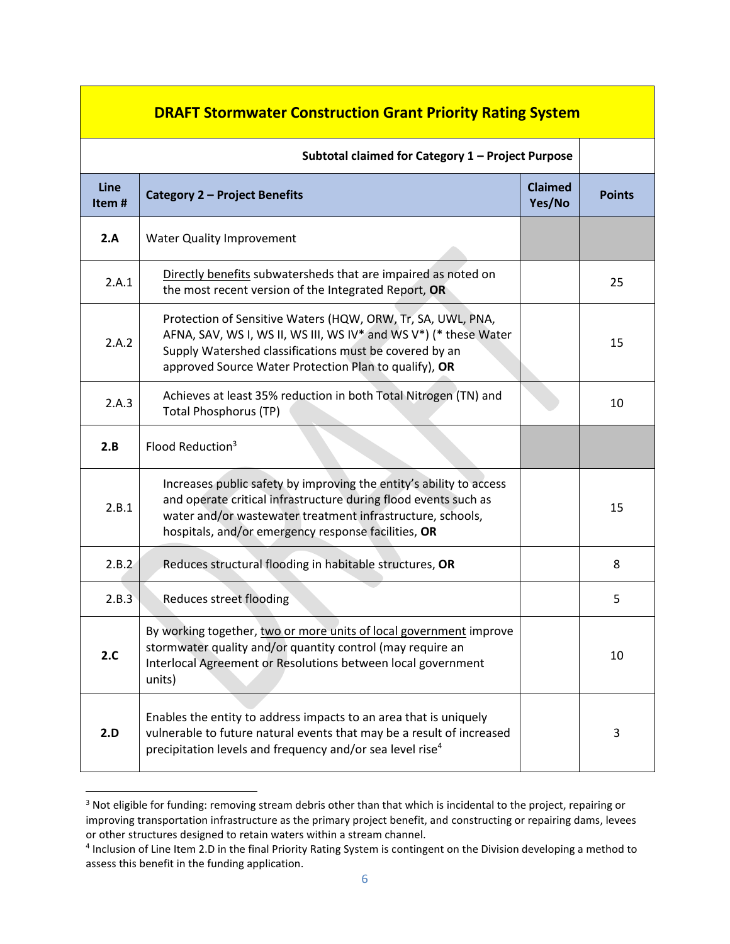| <b>DRAFT Stormwater Construction Grant Priority Rating System</b> |                                                                                                                                                                                                                                                             |                          |               |
|-------------------------------------------------------------------|-------------------------------------------------------------------------------------------------------------------------------------------------------------------------------------------------------------------------------------------------------------|--------------------------|---------------|
| Subtotal claimed for Category 1 - Project Purpose                 |                                                                                                                                                                                                                                                             |                          |               |
| Line<br>Item#                                                     | Category 2 - Project Benefits                                                                                                                                                                                                                               | <b>Claimed</b><br>Yes/No | <b>Points</b> |
| 2.A                                                               | <b>Water Quality Improvement</b>                                                                                                                                                                                                                            |                          |               |
| 2.A.1                                                             | Directly benefits subwatersheds that are impaired as noted on<br>the most recent version of the Integrated Report, OR                                                                                                                                       |                          | 25            |
| 2.A.2                                                             | Protection of Sensitive Waters (HQW, ORW, Tr, SA, UWL, PNA,<br>AFNA, SAV, WS I, WS II, WS III, WS IV* and WS V*) (* these Water<br>Supply Watershed classifications must be covered by an<br>approved Source Water Protection Plan to qualify), OR          |                          | 15            |
| 2.A.3                                                             | Achieves at least 35% reduction in both Total Nitrogen (TN) and<br><b>Total Phosphorus (TP)</b>                                                                                                                                                             |                          | 10            |
| 2.B                                                               | Flood Reduction <sup>3</sup>                                                                                                                                                                                                                                |                          |               |
| 2.B.1                                                             | Increases public safety by improving the entity's ability to access<br>and operate critical infrastructure during flood events such as<br>water and/or wastewater treatment infrastructure, schools,<br>hospitals, and/or emergency response facilities, OR |                          | 15            |
| 2.B.2                                                             | Reduces structural flooding in habitable structures, OR                                                                                                                                                                                                     |                          | 8             |
| 2.B.3                                                             | Reduces street flooding                                                                                                                                                                                                                                     |                          | 5             |
| 2.C                                                               | By working together, two or more units of local government improve<br>stormwater quality and/or quantity control (may require an<br>Interlocal Agreement or Resolutions between local government<br>units)                                                  |                          | 10            |
| 2.D                                                               | Enables the entity to address impacts to an area that is uniquely<br>vulnerable to future natural events that may be a result of increased<br>precipitation levels and frequency and/or sea level rise <sup>4</sup>                                         |                          | 3             |

<sup>&</sup>lt;sup>3</sup> Not eligible for funding: removing stream debris other than that which is incidental to the project, repairing or improving transportation infrastructure as the primary project benefit, and constructing or repairing dams, levees or other structures designed to retain waters within a stream channel.

<sup>4</sup> Inclusion of Line Item 2.D in the final Priority Rating System is contingent on the Division developing a method to assess this benefit in the funding application.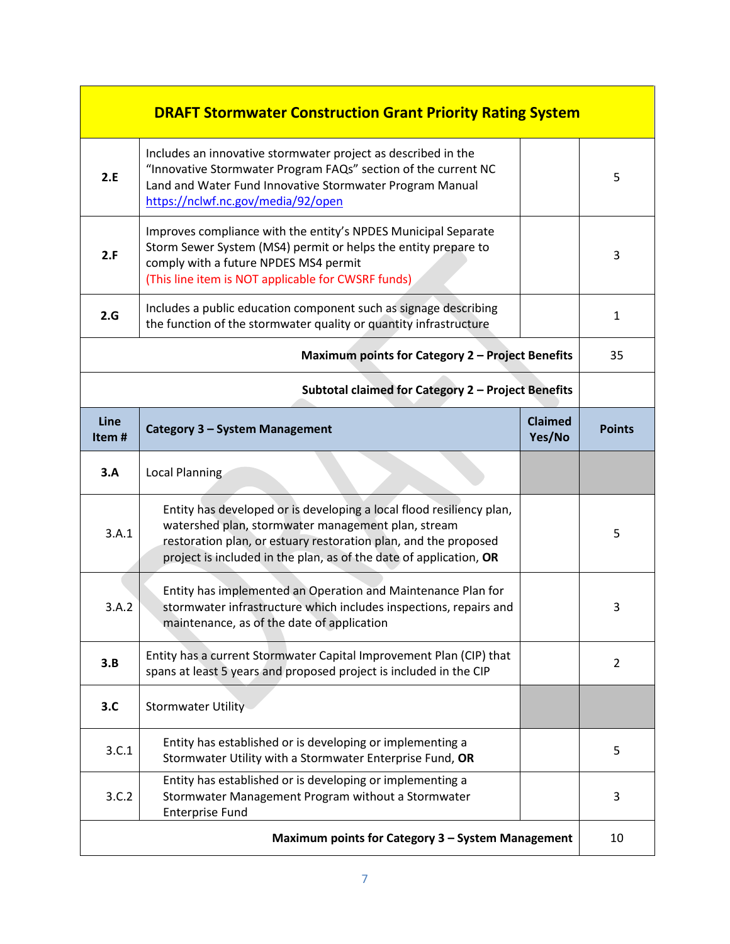| <b>DRAFT Stormwater Construction Grant Priority Rating System</b> |                                                                                                                                                                                                                                   |                          |               |
|-------------------------------------------------------------------|-----------------------------------------------------------------------------------------------------------------------------------------------------------------------------------------------------------------------------------|--------------------------|---------------|
| 2.E                                                               | Includes an innovative stormwater project as described in the<br>"Innovative Stormwater Program FAQs" section of the current NC<br>Land and Water Fund Innovative Stormwater Program Manual<br>https://nclwf.nc.gov/media/92/open |                          | 5             |
| 2.F                                                               | Improves compliance with the entity's NPDES Municipal Separate<br>Storm Sewer System (MS4) permit or helps the entity prepare to<br>comply with a future NPDES MS4 permit<br>(This line item is NOT applicable for CWSRF funds)   |                          | 3             |
| 2.G                                                               | Includes a public education component such as signage describing<br>the function of the stormwater quality or quantity infrastructure                                                                                             |                          | 1             |
|                                                                   | Maximum points for Category 2 - Project Benefits                                                                                                                                                                                  |                          | 35            |
| Subtotal claimed for Category 2 - Project Benefits                |                                                                                                                                                                                                                                   |                          |               |
| Line<br>Item#                                                     | Category 3 - System Management                                                                                                                                                                                                    | <b>Claimed</b><br>Yes/No | <b>Points</b> |
| 3.A                                                               | Local Planning                                                                                                                                                                                                                    |                          |               |
| 3.A.1                                                             | Entity has developed or is developing a local flood resiliency plan,<br>watershed plan, stormwater management plan, stream                                                                                                        |                          |               |
|                                                                   | restoration plan, or estuary restoration plan, and the proposed<br>project is included in the plan, as of the date of application, OR                                                                                             |                          | 5             |
| 3.A.2                                                             | Entity has implemented an Operation and Maintenance Plan for<br>stormwater infrastructure which includes inspections, repairs and<br>maintenance, as of the date of application                                                   |                          | 3             |
| 3.B                                                               | Entity has a current Stormwater Capital Improvement Plan (CIP) that<br>spans at least 5 years and proposed project is included in the CIP                                                                                         |                          | 2             |
| 3.C                                                               | <b>Stormwater Utility</b>                                                                                                                                                                                                         |                          |               |
| 3.C.1                                                             | Entity has established or is developing or implementing a<br>Stormwater Utility with a Stormwater Enterprise Fund, OR                                                                                                             |                          | 5             |
| 3.C.2                                                             | Entity has established or is developing or implementing a<br>Stormwater Management Program without a Stormwater<br><b>Enterprise Fund</b>                                                                                         |                          | 3             |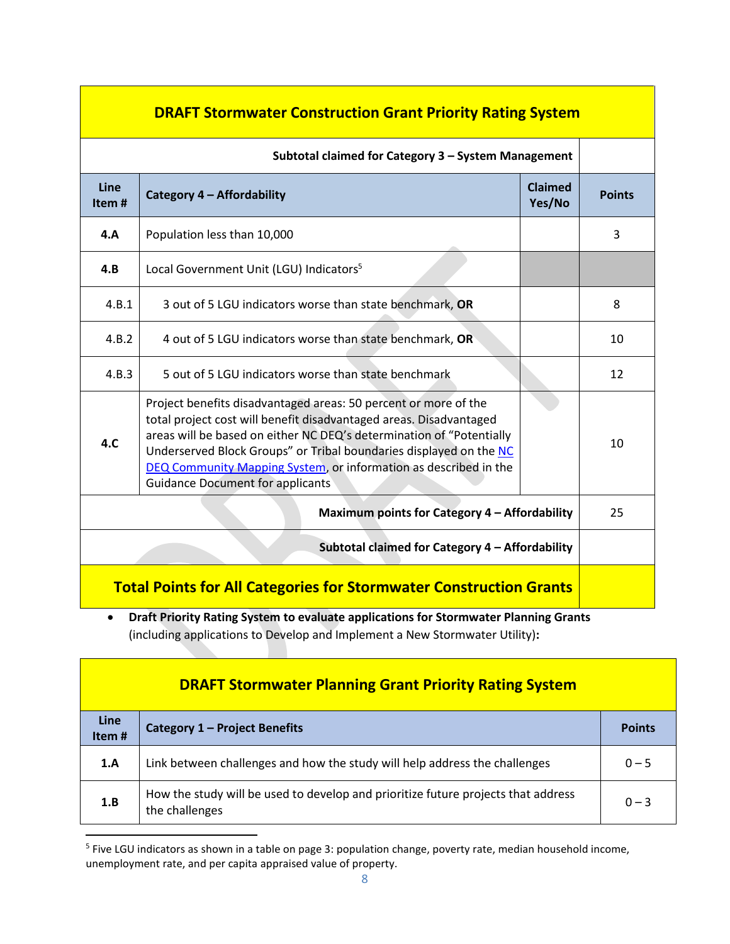| <b>DRAFT Stormwater Construction Grant Priority Rating System</b>         |                                                                                                                                                                                                                                                                                                                                                                                                    |                   |               |
|---------------------------------------------------------------------------|----------------------------------------------------------------------------------------------------------------------------------------------------------------------------------------------------------------------------------------------------------------------------------------------------------------------------------------------------------------------------------------------------|-------------------|---------------|
| Subtotal claimed for Category 3 - System Management                       |                                                                                                                                                                                                                                                                                                                                                                                                    |                   |               |
| Line<br>Item#                                                             | Category 4 - Affordability                                                                                                                                                                                                                                                                                                                                                                         | Claimed<br>Yes/No | <b>Points</b> |
| 4.A                                                                       | Population less than 10,000                                                                                                                                                                                                                                                                                                                                                                        |                   | 3             |
| 4.B                                                                       | Local Government Unit (LGU) Indicators <sup>5</sup>                                                                                                                                                                                                                                                                                                                                                |                   |               |
| 4.B.1                                                                     | 3 out of 5 LGU indicators worse than state benchmark, OR                                                                                                                                                                                                                                                                                                                                           |                   | 8             |
| 4.B.2                                                                     | 4 out of 5 LGU indicators worse than state benchmark, OR                                                                                                                                                                                                                                                                                                                                           |                   | 10            |
| 4.B.3                                                                     | 5 out of 5 LGU indicators worse than state benchmark                                                                                                                                                                                                                                                                                                                                               |                   | 12            |
| 4.C                                                                       | Project benefits disadvantaged areas: 50 percent or more of the<br>total project cost will benefit disadvantaged areas. Disadvantaged<br>areas will be based on either NC DEQ's determination of "Potentially<br>Underserved Block Groups" or Tribal boundaries displayed on the NC<br>DEQ Community Mapping System, or information as described in the<br><b>Guidance Document for applicants</b> |                   | 10            |
| Maximum points for Category 4 - Affordability                             |                                                                                                                                                                                                                                                                                                                                                                                                    |                   | 25            |
| Subtotal claimed for Category 4 - Affordability                           |                                                                                                                                                                                                                                                                                                                                                                                                    |                   |               |
| <b>Total Points for All Categories for Stormwater Construction Grants</b> |                                                                                                                                                                                                                                                                                                                                                                                                    |                   |               |

• **Draft Priority Rating System to evaluate applications for Stormwater Planning Grants**  (including applications to Develop and Implement a New Stormwater Utility)**:**

| <b>DRAFT Stormwater Planning Grant Priority Rating System</b> |                                                                                                     |               |  |
|---------------------------------------------------------------|-----------------------------------------------------------------------------------------------------|---------------|--|
| Line<br>Item#                                                 | Category 1 - Project Benefits                                                                       | <b>Points</b> |  |
| 1.A                                                           | Link between challenges and how the study will help address the challenges                          | $0 - 5$       |  |
| 1.B                                                           | How the study will be used to develop and prioritize future projects that address<br>the challenges | $0 - 3$       |  |

<sup>&</sup>lt;sup>5</sup> Five LGU indicators as shown in a table on page 3: population change, poverty rate, median household income, unemployment rate, and per capita appraised value of property.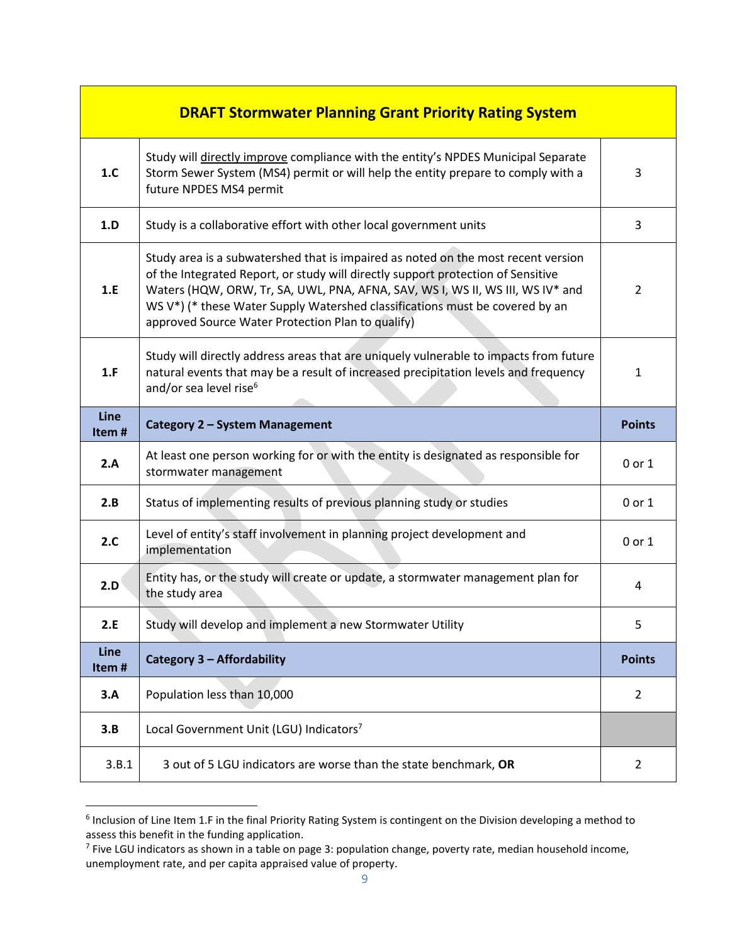|               | <b>DRAFT Stormwater Planning Grant Priority Rating System</b>                                                                                                                                                                                                                                                                                                                                |                |
|---------------|----------------------------------------------------------------------------------------------------------------------------------------------------------------------------------------------------------------------------------------------------------------------------------------------------------------------------------------------------------------------------------------------|----------------|
| 1.C           | Study will directly improve compliance with the entity's NPDES Municipal Separate<br>Storm Sewer System (MS4) permit or will help the entity prepare to comply with a<br>future NPDES MS4 permit                                                                                                                                                                                             | 3              |
| 1.D           | Study is a collaborative effort with other local government units                                                                                                                                                                                                                                                                                                                            | 3              |
| 1.E           | Study area is a subwatershed that is impaired as noted on the most recent version<br>of the Integrated Report, or study will directly support protection of Sensitive<br>Waters (HQW, ORW, Tr, SA, UWL, PNA, AFNA, SAV, WS I, WS II, WS III, WS IV* and<br>WS V*) (* these Water Supply Watershed classifications must be covered by an<br>approved Source Water Protection Plan to qualify) | 2              |
| 1.F           | Study will directly address areas that are uniquely vulnerable to impacts from future<br>natural events that may be a result of increased precipitation levels and frequency<br>and/or sea level rise <sup>6</sup>                                                                                                                                                                           | 1              |
| Line<br>Item# | Category 2 - System Management                                                                                                                                                                                                                                                                                                                                                               | <b>Points</b>  |
|               |                                                                                                                                                                                                                                                                                                                                                                                              |                |
| 2.A           | At least one person working for or with the entity is designated as responsible for<br>stormwater management                                                                                                                                                                                                                                                                                 | 0 or 1         |
| 2.B           | Status of implementing results of previous planning study or studies                                                                                                                                                                                                                                                                                                                         | $0$ or $1$     |
| 2.C           | Level of entity's staff involvement in planning project development and<br>implementation                                                                                                                                                                                                                                                                                                    | 0 or 1         |
| 2.D           | Entity has, or the study will create or update, a stormwater management plan for<br>the study area                                                                                                                                                                                                                                                                                           | 4              |
| 2.E           | Study will develop and implement a new Stormwater Utility                                                                                                                                                                                                                                                                                                                                    | 5              |
| Line<br>Item# | <b>Category 3 - Affordability</b>                                                                                                                                                                                                                                                                                                                                                            | <b>Points</b>  |
| 3.A           | Population less than 10,000                                                                                                                                                                                                                                                                                                                                                                  | $\overline{2}$ |
| 3.B           | Local Government Unit (LGU) Indicators7                                                                                                                                                                                                                                                                                                                                                      |                |

<sup>&</sup>lt;sup>6</sup> Inclusion of Line Item 1.F in the final Priority Rating System is contingent on the Division developing a method to assess this benefit in the funding application.

<sup>&</sup>lt;sup>7</sup> Five LGU indicators as shown in a table on page 3: population change, poverty rate, median household income, unemployment rate, and per capita appraised value of property.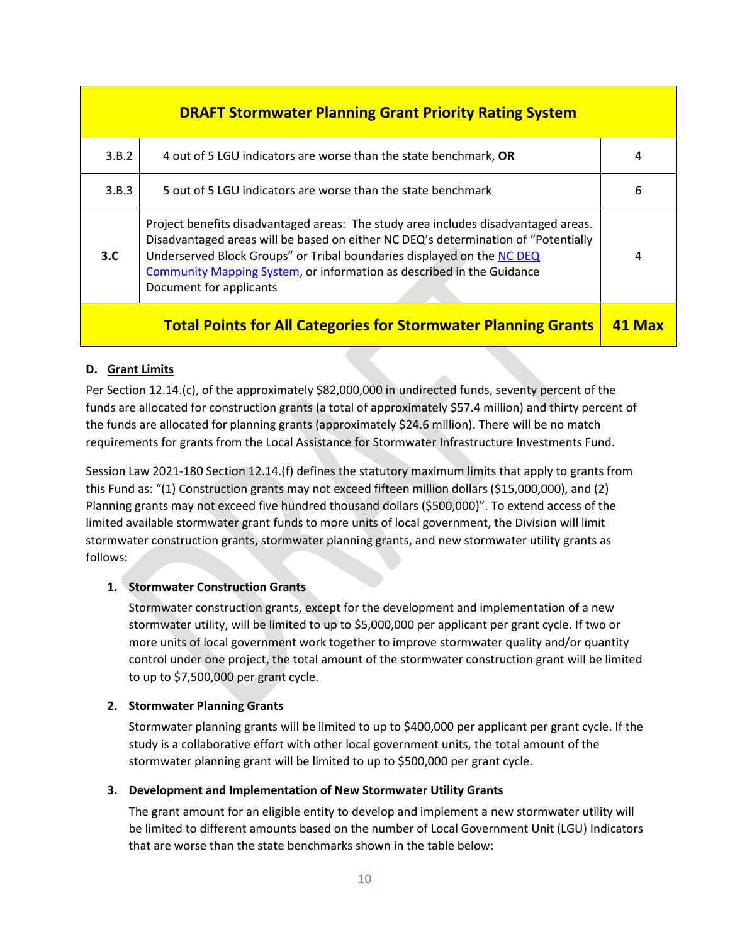| <b>DRAFT Stormwater Planning Grant Priority Rating System</b>         |                                                                                                                                                                                                                                                                                                                                                               |   |  |
|-----------------------------------------------------------------------|---------------------------------------------------------------------------------------------------------------------------------------------------------------------------------------------------------------------------------------------------------------------------------------------------------------------------------------------------------------|---|--|
| 3.B.2                                                                 | 4 out of 5 LGU indicators are worse than the state benchmark, OR                                                                                                                                                                                                                                                                                              | 4 |  |
| 3.B.3                                                                 | 5 out of 5 LGU indicators are worse than the state benchmark                                                                                                                                                                                                                                                                                                  | 6 |  |
| 3.C.                                                                  | Project benefits disadvantaged areas: The study area includes disadvantaged areas.<br>Disadvantaged areas will be based on either NC DEQ's determination of "Potentially<br>Underserved Block Groups" or Tribal boundaries displayed on the NC DEQ<br><b>Community Mapping System, or information as described in the Guidance</b><br>Document for applicants | 4 |  |
| <b>Total Points for All Categories for Stormwater Planning Grants</b> |                                                                                                                                                                                                                                                                                                                                                               |   |  |

#### **D. Grant Limits**

Per Section 12.14.(c), of the approximately \$82,000,000 in undirected funds, seventy percent of the funds are allocated for construction grants (a total of approximately \$57.4 million) and thirty percent of the funds are allocated for planning grants (approximately \$24.6 million). There will be no match requirements for grants from the Local Assistance for Stormwater Infrastructure Investments Fund.

Session Law 2021-180 Section 12.14.(f) defines the statutory maximum limits that apply to grants from this Fund as: "(1) Construction grants may not exceed fifteen million dollars (\$15,000,000), and (2) Planning grants may not exceed five hundred thousand dollars (\$500,000)". To extend access of the limited available stormwater grant funds to more units of local government, the Division will limit stormwater construction grants, stormwater planning grants, and new stormwater utility grants as follows:

#### **1. Stormwater Construction Grants**

Stormwater construction grants, except for the development and implementation of a new stormwater utility, will be limited to up to \$5,000,000 per applicant per grant cycle. If two or more units of local government work together to improve stormwater quality and/or quantity control under one project, the total amount of the stormwater construction grant will be limited to up to \$7,500,000 per grant cycle.

#### **2. Stormwater Planning Grants**

Stormwater planning grants will be limited to up to \$400,000 per applicant per grant cycle. If the study is a collaborative effort with other local government units, the total amount of the stormwater planning grant will be limited to up to \$500,000 per grant cycle.

#### **3. Development and Implementation of New Stormwater Utility Grants**

The grant amount for an eligible entity to develop and implement a new stormwater utility will be limited to different amounts based on the number of Local Government Unit (LGU) Indicators that are worse than the state benchmarks shown in the table below: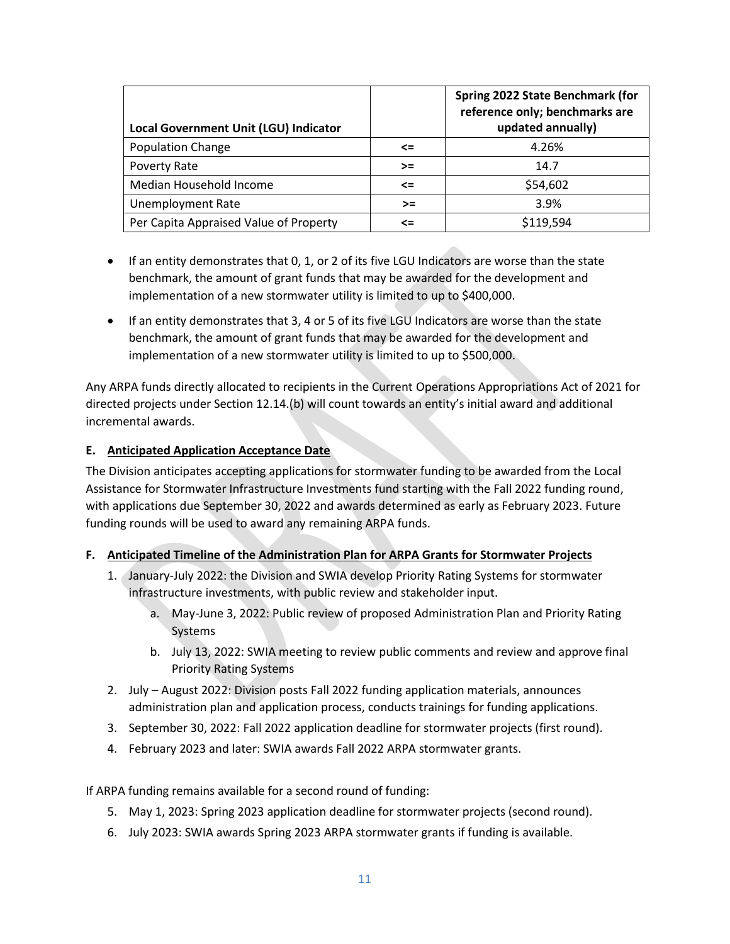| Local Government Unit (LGU) Indicator  |        | Spring 2022 State Benchmark (for<br>reference only; benchmarks are<br>updated annually) |
|----------------------------------------|--------|-----------------------------------------------------------------------------------------|
| <b>Population Change</b>               | $\leq$ | 4.26%                                                                                   |
| <b>Poverty Rate</b>                    | $>=$   | 14.7                                                                                    |
| Median Household Income                | <=     | \$54,602                                                                                |
| <b>Unemployment Rate</b>               | $>=$   | 3.9%                                                                                    |
| Per Capita Appraised Value of Property | <=     | \$119,594                                                                               |

- If an entity demonstrates that 0, 1, or 2 of its five LGU Indicators are worse than the state benchmark, the amount of grant funds that may be awarded for the development and implementation of a new stormwater utility is limited to up to \$400,000.
- If an entity demonstrates that 3, 4 or 5 of its five LGU Indicators are worse than the state benchmark, the amount of grant funds that may be awarded for the development and implementation of a new stormwater utility is limited to up to \$500,000.

Any ARPA funds directly allocated to recipients in the Current Operations Appropriations Act of 2021 for directed projects under Section 12.14.(b) will count towards an entity's initial award and additional incremental awards.

### **E. Anticipated Application Acceptance Date**

The Division anticipates accepting applications for stormwater funding to be awarded from the Local Assistance for Stormwater Infrastructure Investments fund starting with the Fall 2022 funding round, with applications due September 30, 2022 and awards determined as early as February 2023. Future funding rounds will be used to award any remaining ARPA funds.

#### **F. Anticipated Timeline of the Administration Plan for ARPA Grants for Stormwater Projects**

- 1. January-July 2022: the Division and SWIA develop Priority Rating Systems for stormwater infrastructure investments, with public review and stakeholder input.
	- a. May-June 3, 2022: Public review of proposed Administration Plan and Priority Rating Systems
	- b. July 13, 2022: SWIA meeting to review public comments and review and approve final Priority Rating Systems
- 2. July August 2022: Division posts Fall 2022 funding application materials, announces administration plan and application process, conducts trainings for funding applications.
- 3. September 30, 2022: Fall 2022 application deadline for stormwater projects (first round).
- 4. February 2023 and later: SWIA awards Fall 2022 ARPA stormwater grants.

If ARPA funding remains available for a second round of funding:

- 5. May 1, 2023: Spring 2023 application deadline for stormwater projects (second round).
- 6. July 2023: SWIA awards Spring 2023 ARPA stormwater grants if funding is available.